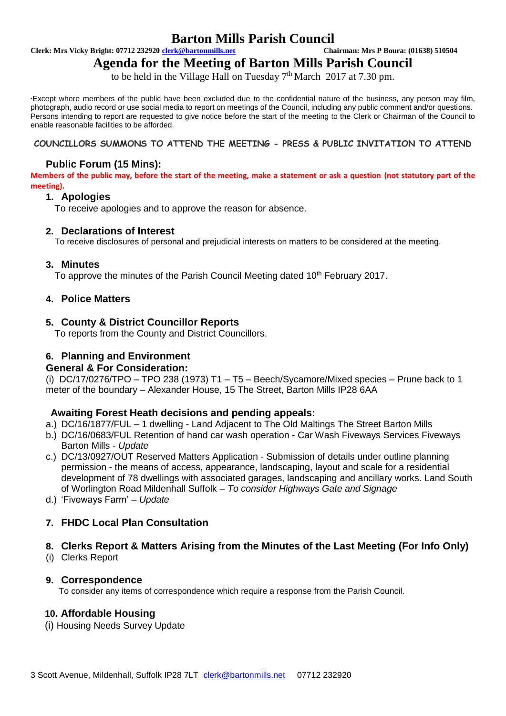# **Barton Mills Parish Council**<br> **Chairman: Mrs P Boura: (01638) 510504**<br>
Chairman: Mrs P Boura: (01638) 510504

**Clerk: Mrs Vicky Bright: 07712 232920 <b>clerk@bartonmills.net** 

# **Agenda for the Meeting of Barton Mills Parish Council**

to be held in the Village Hall on Tuesday  $7<sup>th</sup>$  March 2017 at 7.30 pm.

\*Except where members of the public have been excluded due to the confidential nature of the business, any person may film, photograph, audio record or use social media to report on meetings of the Council, including any public comment and/or questions. Persons intending to report are requested to give notice before the start of the meeting to the Clerk or Chairman of the Council to enable reasonable facilities to be afforded.

#### **COUNCILLORS SUMMONS TO ATTEND THE MEETING - PRESS & PUBLIC INVITATION TO ATTEND**

#### **Public Forum (15 Mins):**

**Members of the public may, before the start of the meeting, make a statement or ask a question (not statutory part of the meeting).**

#### **1. Apologies**

To receive apologies and to approve the reason for absence.

#### **2. Declarations of Interest**

To receive disclosures of personal and prejudicial interests on matters to be considered at the meeting.

#### **3. Minutes**

To approve the minutes of the Parish Council Meeting dated 10<sup>th</sup> February 2017.

#### **4. Police Matters**

## **5. County & District Councillor Reports**

To reports from the County and District Councillors.

## **6. Planning and Environment**

#### **General & For Consideration:**

(i) DC/17/0276/TPO – TPO 238 (1973) T1 – T5 – Beech/Sycamore/Mixed species – Prune back to 1 meter of the boundary – Alexander House, 15 The Street, Barton Mills IP28 6AA

#### **Awaiting Forest Heath decisions and pending appeals:**

- a.) DC/16/1877/FUL 1 dwelling Land Adjacent to The Old Maltings The Street Barton Mills
- b.) DC/16/0683/FUL Retention of hand car wash operation Car Wash Fiveways Services Fiveways Barton Mills - *Update*
- c.) DC/13/0927/OUT Reserved Matters Application Submission of details under outline planning permission - the means of access, appearance, landscaping, layout and scale for a residential development of 78 dwellings with associated garages, landscaping and ancillary works. Land South of Worlington Road Mildenhall Suffolk – *To consider Highways Gate and Signage*
- d.) 'Fiveways Farm' *Update*

# **7. FHDC Local Plan Consultation**

# **8. Clerks Report & Matters Arising from the Minutes of the Last Meeting (For Info Only)**

(i) Clerks Report

#### **9. Correspondence**

To consider any items of correspondence which require a response from the Parish Council.

# **10. Affordable Housing**

(i) Housing Needs Survey Update